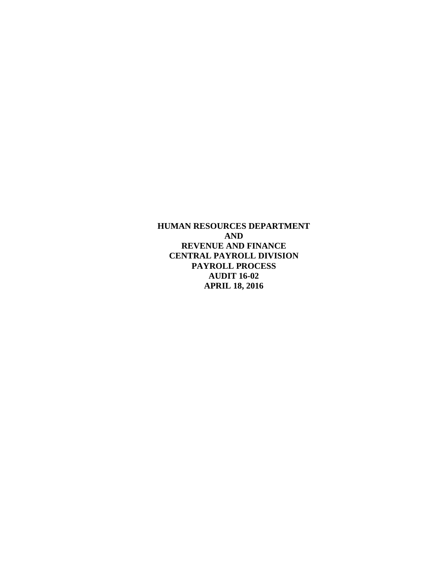**HUMAN RESOURCES DEPARTMENT AND REVENUE AND FINANCE CENTRAL PAYROLL DIVISION PAYROLL PROCESS AUDIT 16-02 APRIL 18, 2016**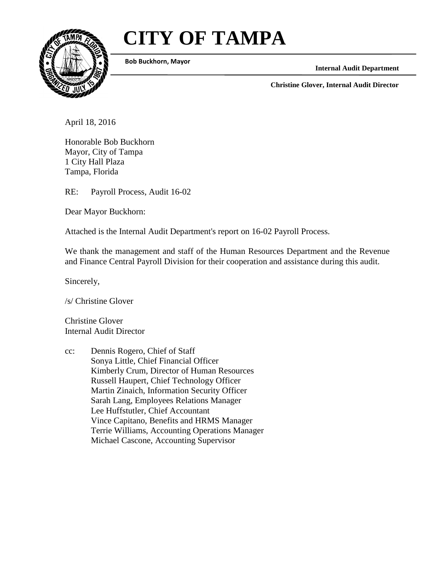# **CITY OF TAMPA**



**Bob Buckhorn, Mayor**

**Internal Audit Department**

**Christine Glover, Internal Audit Director**

April 18, 2016

Honorable Bob Buckhorn Mayor, City of Tampa 1 City Hall Plaza Tampa, Florida

RE: Payroll Process, Audit 16-02

Dear Mayor Buckhorn:

Attached is the Internal Audit Department's report on 16-02 Payroll Process.

We thank the management and staff of the Human Resources Department and the Revenue and Finance Central Payroll Division for their cooperation and assistance during this audit.

Sincerely,

/s/ Christine Glover

Christine Glover Internal Audit Director

cc: Dennis Rogero, Chief of Staff Sonya Little, Chief Financial Officer Kimberly Crum, Director of Human Resources Russell Haupert, Chief Technology Officer Martin Zinaich, Information Security Officer Sarah Lang, Employees Relations Manager Lee Huffstutler, Chief Accountant Vince Capitano, Benefits and HRMS Manager Terrie Williams, Accounting Operations Manager Michael Cascone, Accounting Supervisor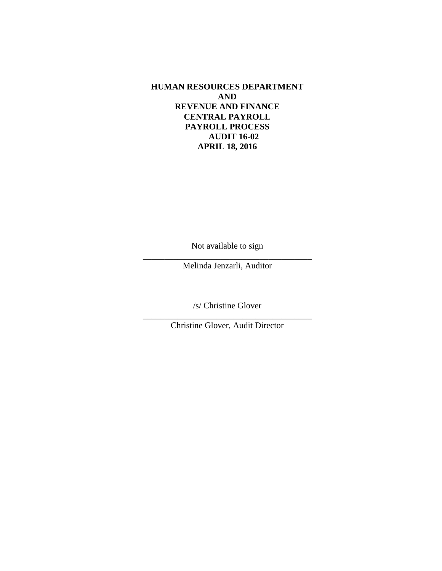**HUMAN RESOURCES DEPARTMENT AND REVENUE AND FINANCE CENTRAL PAYROLL PAYROLL PROCESS AUDIT 16-02 APRIL 18, 2016**

Not available to sign

\_\_\_\_\_\_\_\_\_\_\_\_\_\_\_\_\_\_\_\_\_\_\_\_\_\_\_\_\_\_\_\_\_\_\_\_\_\_\_ Melinda Jenzarli, Auditor

/s/ Christine Glover

\_\_\_\_\_\_\_\_\_\_\_\_\_\_\_\_\_\_\_\_\_\_\_\_\_\_\_\_\_\_\_\_\_\_\_\_\_\_\_ Christine Glover, Audit Director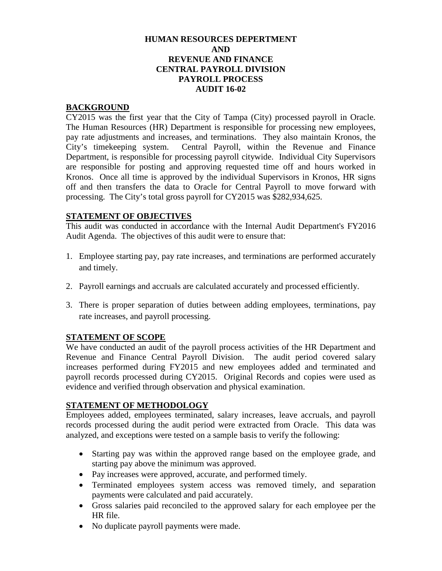#### **HUMAN RESOURCES DEPERTMENT AND REVENUE AND FINANCE CENTRAL PAYROLL DIVISION PAYROLL PROCESS AUDIT 16-02**

#### **BACKGROUND**

CY2015 was the first year that the City of Tampa (City) processed payroll in Oracle. The Human Resources (HR) Department is responsible for processing new employees, pay rate adjustments and increases, and terminations. They also maintain Kronos, the City's timekeeping system. Central Payroll, within the Revenue and Finance Department, is responsible for processing payroll citywide. Individual City Supervisors are responsible for posting and approving requested time off and hours worked in Kronos. Once all time is approved by the individual Supervisors in Kronos, HR signs off and then transfers the data to Oracle for Central Payroll to move forward with processing. The City's total gross payroll for CY2015 was \$282,934,625.

## **STATEMENT OF OBJECTIVES**

This audit was conducted in accordance with the Internal Audit Department's FY2016 Audit Agenda. The objectives of this audit were to ensure that:

- 1. Employee starting pay, pay rate increases, and terminations are performed accurately and timely.
- 2. Payroll earnings and accruals are calculated accurately and processed efficiently.
- 3. There is proper separation of duties between adding employees, terminations, pay rate increases, and payroll processing.

#### **STATEMENT OF SCOPE**

We have conducted an audit of the payroll process activities of the HR Department and Revenue and Finance Central Payroll Division. The audit period covered salary increases performed during FY2015 and new employees added and terminated and payroll records processed during CY2015. Original Records and copies were used as evidence and verified through observation and physical examination.

#### **STATEMENT OF METHODOLOGY**

Employees added, employees terminated, salary increases, leave accruals, and payroll records processed during the audit period were extracted from Oracle. This data was analyzed, and exceptions were tested on a sample basis to verify the following:

- Starting pay was within the approved range based on the employee grade, and starting pay above the minimum was approved.
- Pay increases were approved, accurate, and performed timely.
- Terminated employees system access was removed timely, and separation payments were calculated and paid accurately.
- Gross salaries paid reconciled to the approved salary for each employee per the HR file.
- No duplicate payroll payments were made.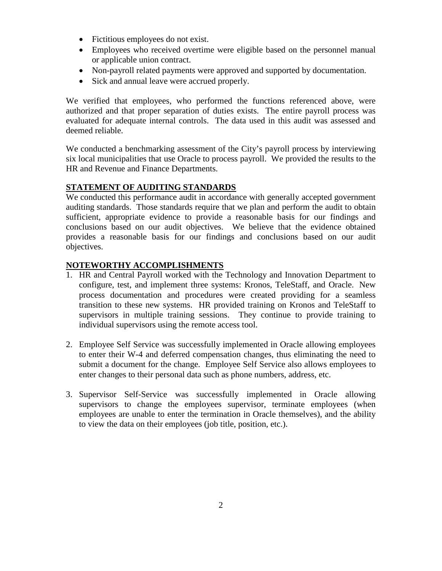- Fictitious employees do not exist.
- Employees who received overtime were eligible based on the personnel manual or applicable union contract.
- Non-payroll related payments were approved and supported by documentation.
- Sick and annual leave were accrued properly.

We verified that employees, who performed the functions referenced above, were authorized and that proper separation of duties exists. The entire payroll process was evaluated for adequate internal controls. The data used in this audit was assessed and deemed reliable.

We conducted a benchmarking assessment of the City's payroll process by interviewing six local municipalities that use Oracle to process payroll. We provided the results to the HR and Revenue and Finance Departments.

## **STATEMENT OF AUDITING STANDARDS**

We conducted this performance audit in accordance with generally accepted government auditing standards. Those standards require that we plan and perform the audit to obtain sufficient, appropriate evidence to provide a reasonable basis for our findings and conclusions based on our audit objectives. We believe that the evidence obtained provides a reasonable basis for our findings and conclusions based on our audit objectives.

## **NOTEWORTHY ACCOMPLISHMENTS**

- 1. HR and Central Payroll worked with the Technology and Innovation Department to configure, test, and implement three systems: Kronos, TeleStaff, and Oracle. New process documentation and procedures were created providing for a seamless transition to these new systems. HR provided training on Kronos and TeleStaff to supervisors in multiple training sessions. They continue to provide training to individual supervisors using the remote access tool.
- 2. Employee Self Service was successfully implemented in Oracle allowing employees to enter their W-4 and deferred compensation changes, thus eliminating the need to submit a document for the change. Employee Self Service also allows employees to enter changes to their personal data such as phone numbers, address, etc.
- 3. Supervisor Self-Service was successfully implemented in Oracle allowing supervisors to change the employees supervisor, terminate employees (when employees are unable to enter the termination in Oracle themselves), and the ability to view the data on their employees (job title, position, etc.).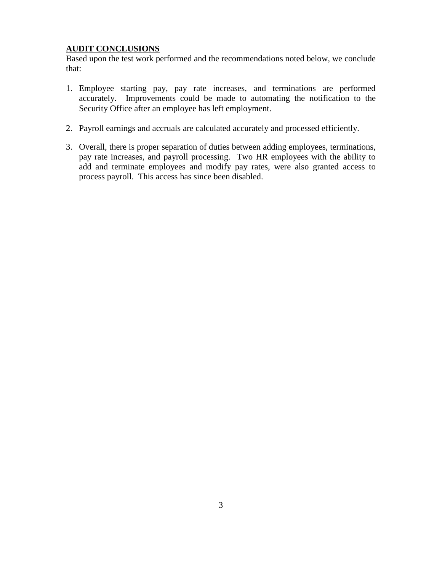## **AUDIT CONCLUSIONS**

Based upon the test work performed and the recommendations noted below, we conclude that:

- 1. Employee starting pay, pay rate increases, and terminations are performed accurately. Improvements could be made to automating the notification to the Security Office after an employee has left employment.
- 2. Payroll earnings and accruals are calculated accurately and processed efficiently.
- 3. Overall, there is proper separation of duties between adding employees, terminations, pay rate increases, and payroll processing. Two HR employees with the ability to add and terminate employees and modify pay rates, were also granted access to process payroll. This access has since been disabled.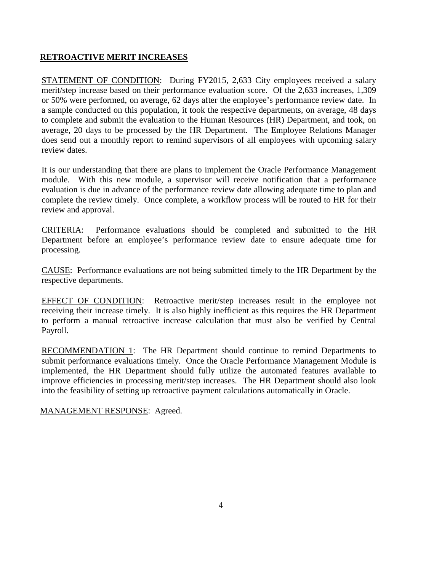#### **RETROACTIVE MERIT INCREASES**

STATEMENT OF CONDITION: During FY2015, 2,633 City employees received a salary merit/step increase based on their performance evaluation score. Of the 2,633 increases, 1,309 or 50% were performed, on average, 62 days after the employee's performance review date. In a sample conducted on this population, it took the respective departments, on average, 48 days to complete and submit the evaluation to the Human Resources (HR) Department, and took, on average, 20 days to be processed by the HR Department. The Employee Relations Manager does send out a monthly report to remind supervisors of all employees with upcoming salary review dates.

It is our understanding that there are plans to implement the Oracle Performance Management module. With this new module, a supervisor will receive notification that a performance evaluation is due in advance of the performance review date allowing adequate time to plan and complete the review timely. Once complete, a workflow process will be routed to HR for their review and approval.

CRITERIA: Performance evaluations should be completed and submitted to the HR Department before an employee's performance review date to ensure adequate time for processing.

CAUSE: Performance evaluations are not being submitted timely to the HR Department by the respective departments.

EFFECT OF CONDITION: Retroactive merit/step increases result in the employee not receiving their increase timely. It is also highly inefficient as this requires the HR Department to perform a manual retroactive increase calculation that must also be verified by Central Payroll.

RECOMMENDATION 1: The HR Department should continue to remind Departments to submit performance evaluations timely. Once the Oracle Performance Management Module is implemented, the HR Department should fully utilize the automated features available to improve efficiencies in processing merit/step increases. The HR Department should also look into the feasibility of setting up retroactive payment calculations automatically in Oracle.

MANAGEMENT RESPONSE: Agreed.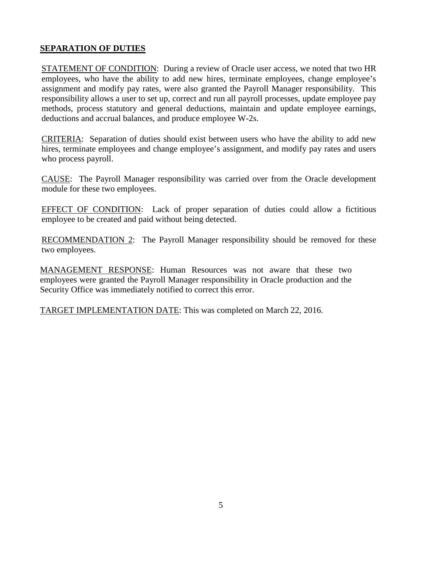## **SEPARATION OF DUTIES**

STATEMENT OF CONDITION: During a review of Oracle user access, we noted that two HR employees, who have the ability to add new hires, terminate employees, change employee's assignment and modify pay rates, were also granted the Payroll Manager responsibility. This responsibility allows a user to set up, correct and run all payroll processes, update employee pay methods, process statutory and general deductions, maintain and update employee earnings, deductions and accrual balances, and produce employee W-2s.

CRITERIA: Separation of duties should exist between users who have the ability to add new hires, terminate employees and change employee's assignment, and modify pay rates and users who process payroll.

CAUSE: The Payroll Manager responsibility was carried over from the Oracle development module for these two employees.

EFFECT OF CONDITION: Lack of proper separation of duties could allow a fictitious employee to be created and paid without being detected.

RECOMMENDATION 2: The Payroll Manager responsibility should be removed for these two employees.

MANAGEMENT RESPONSE: Human Resources was not aware that these two employees were granted the Payroll Manager responsibility in Oracle production and the Security Office was immediately notified to correct this error.

TARGET IMPLEMENTATION DATE: This was completed on March 22, 2016.